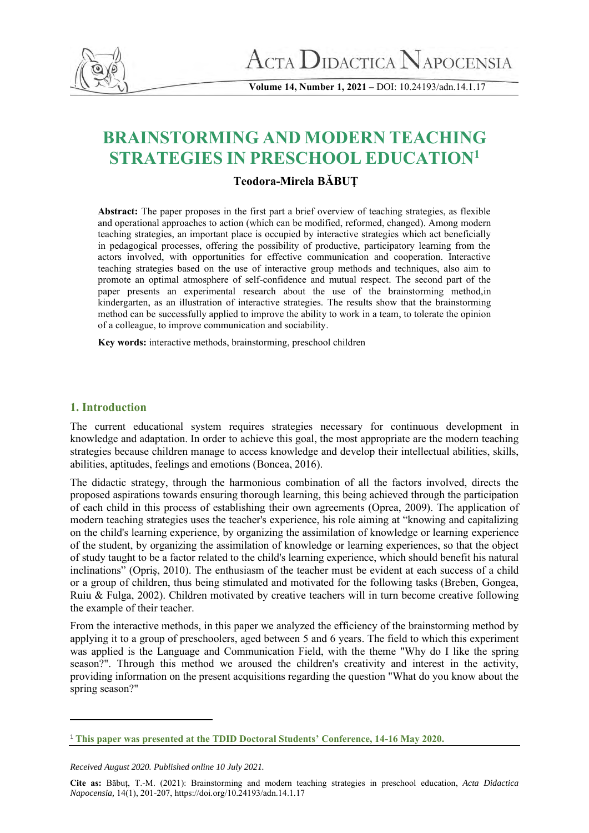

**Volume 14, Number 1, 2021 –** DOI: 10.24193/adn.14.1.17

# **BRAINSTORMING AND MODERN TEACHING STRATEGIES IN PRESCHOOL EDUCATION<sup>1</sup>**

# **Teodora-Mirela BĂBUŢ**

**Abstract:** The paper proposes in the first part a brief overview of teaching strategies, as flexible and operational approaches to action (which can be modified, reformed, changed). Among modern teaching strategies, an important place is occupied by interactive strategies which act beneficially in pedagogical processes, offering the possibility of productive, participatory learning from the actors involved, with opportunities for effective communication and cooperation. Interactive teaching strategies based on the use of interactive group methods and techniques, also aim to promote an optimal atmosphere of self-confidence and mutual respect. The second part of the paper presents an experimental research about the use of the brainstorming method,in kindergarten, as an illustration of interactive strategies. The results show that the brainstorming method can be successfully applied to improve the ability to work in a team, to tolerate the opinion of a colleague, to improve communication and sociability.

**Key words:** interactive methods, brainstorming, preschool children

## **1. Introduction**

The current educational system requires strategies necessary for continuous development in knowledge and adaptation. In order to achieve this goal, the most appropriate are the modern teaching strategies because children manage to access knowledge and develop their intellectual abilities, skills, abilities, aptitudes, feelings and emotions (Boncea, 2016).

The didactic strategy, through the harmonious combination of all the factors involved, directs the proposed aspirations towards ensuring thorough learning, this being achieved through the participation of each child in this process of establishing their own agreements (Oprea, 2009). The application of modern teaching strategies uses the teacher's experience, his role aiming at "knowing and capitalizing on the child's learning experience, by organizing the assimilation of knowledge or learning experience of the student, by organizing the assimilation of knowledge or learning experiences, so that the object of study taught to be a factor related to the child's learning experience, which should benefit his natural inclinations" (Opriş, 2010). The enthusiasm of the teacher must be evident at each success of a child or a group of children, thus being stimulated and motivated for the following tasks (Breben, Gongea, Ruiu & Fulga, 2002). Children motivated by creative teachers will in turn become creative following the example of their teacher.

From the interactive methods, in this paper we analyzed the efficiency of the brainstorming method by applying it to a group of preschoolers, aged between 5 and 6 years. The field to which this experiment was applied is the Language and Communication Field, with the theme "Why do I like the spring season?". Through this method we aroused the children's creativity and interest in the activity, providing information on the present acquisitions regarding the question "What do you know about the spring season?"

<sup>1</sup> **This paper was presented at the TDID Doctoral Students' Conference, 14-16 May 2020.**

*Received August 2020. Published online 10 July 2021.*

**Cite as:** Băbuț, T.-M. (2021): Brainstorming and modern teaching strategies in preschool education, *Acta Didactica Napocensia,* 14(1), 201-207, https://doi.org/10.24193/adn.14.1.17**i**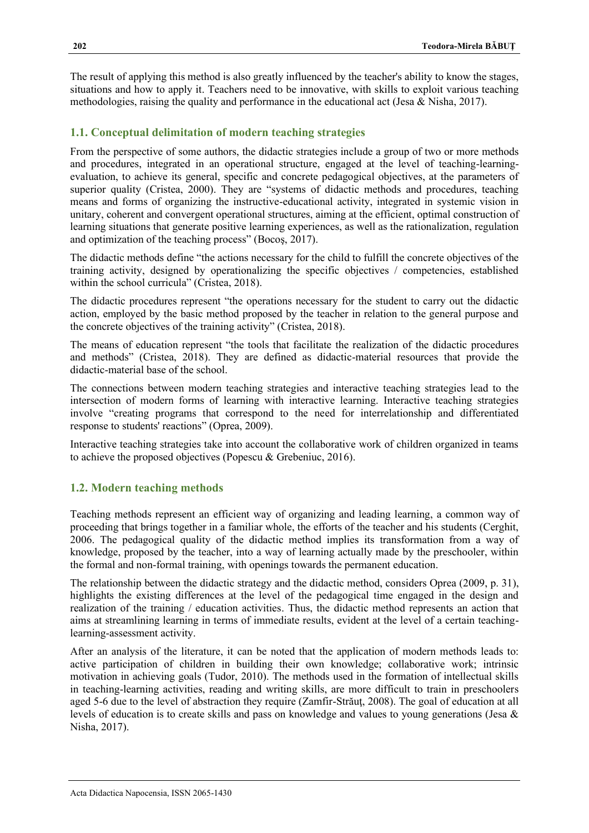The result of applying this method is also greatly influenced by the teacher's ability to know the stages, situations and how to apply it. Teachers need to be innovative, with skills to exploit various teaching methodologies, raising the quality and performance in the educational act (Jesa & Nisha, 2017).

# **1.1. Conceptual delimitation of modern teaching strategies**

From the perspective of some authors, the didactic strategies include a group of two or more methods and procedures, integrated in an operational structure, engaged at the level of teaching-learningevaluation, to achieve its general, specific and concrete pedagogical objectives, at the parameters of superior quality (Cristea, 2000). They are "systems of didactic methods and procedures, teaching means and forms of organizing the instructive-educational activity, integrated in systemic vision in unitary, coherent and convergent operational structures, aiming at the efficient, optimal construction of learning situations that generate positive learning experiences, as well as the rationalization, regulation and optimization of the teaching process" (Bocoş, 2017).

The didactic methods define "the actions necessary for the child to fulfill the concrete objectives of the training activity, designed by operationalizing the specific objectives / competencies, established within the school curricula" (Cristea, 2018).

The didactic procedures represent "the operations necessary for the student to carry out the didactic action, employed by the basic method proposed by the teacher in relation to the general purpose and the concrete objectives of the training activity" (Cristea, 2018).

The means of education represent "the tools that facilitate the realization of the didactic procedures and methods" (Cristea, 2018). They are defined as didactic-material resources that provide the didactic-material base of the school.

The connections between modern teaching strategies and interactive teaching strategies lead to the intersection of modern forms of learning with interactive learning. Interactive teaching strategies involve "creating programs that correspond to the need for interrelationship and differentiated response to students' reactions" (Oprea, 2009).

Interactive teaching strategies take into account the collaborative work of children organized in teams to achieve the proposed objectives (Popescu & Grebeniuc, 2016).

# **1.2. Modern teaching methods**

Teaching methods represent an efficient way of organizing and leading learning, a common way of proceeding that brings together in a familiar whole, the efforts of the teacher and his students (Cerghit, 2006. The pedagogical quality of the didactic method implies its transformation from a way of knowledge, proposed by the teacher, into a way of learning actually made by the preschooler, within the formal and non-formal training, with openings towards the permanent education.

The relationship between the didactic strategy and the didactic method, considers Oprea (2009, p. 31), highlights the existing differences at the level of the pedagogical time engaged in the design and realization of the training / education activities. Thus, the didactic method represents an action that aims at streamlining learning in terms of immediate results, evident at the level of a certain teachinglearning-assessment activity.

After an analysis of the literature, it can be noted that the application of modern methods leads to: active participation of children in building their own knowledge; collaborative work; intrinsic motivation in achieving goals (Tudor, 2010). The methods used in the formation of intellectual skills in teaching-learning activities, reading and writing skills, are more difficult to train in preschoolers aged 5-6 due to the level of abstraction they require (Zamfir-Străuţ, 2008). The goal of education at all levels of education is to create skills and pass on knowledge and values to young generations (Jesa & Nisha, 2017).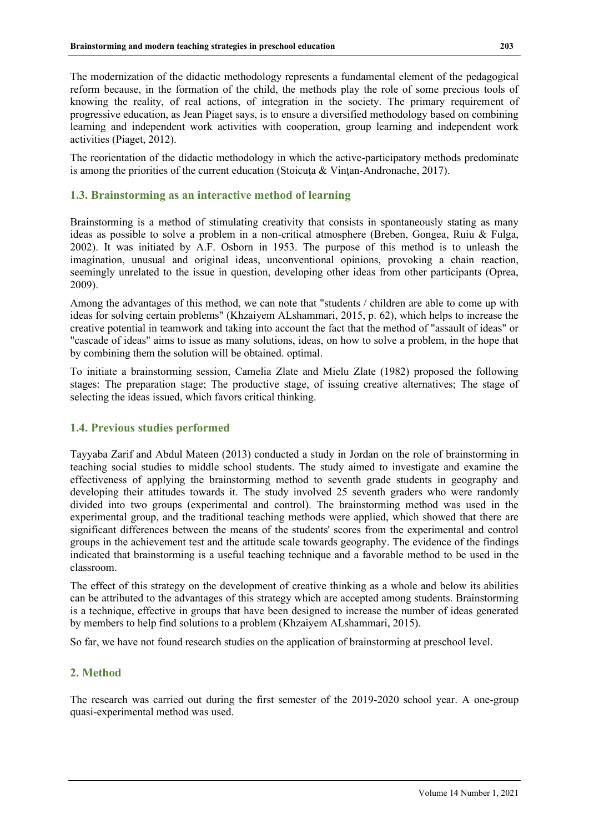The modernization of the didactic methodology represents a fundamental element of the pedagogical reform because, in the formation of the child, the methods play the role of some precious tools of knowing the reality, of real actions, of integration in the society. The primary requirement of progressive education, as Jean Piaget says, is to ensure a diversified methodology based on combining learning and independent work activities with cooperation, group learning and independent work activities (Piaget, 2012).

The reorientation of the didactic methodology in which the active-participatory methods predominate is among the priorities of the current education (Stoicuta & Vintan-Andronache, 2017).

## **1.3. Brainstorming as an interactive method of learning**

Brainstorming is a method of stimulating creativity that consists in spontaneously stating as many ideas as possible to solve a problem in a non-critical atmosphere (Breben, Gongea, Ruiu & Fulga, 2002). It was initiated by A.F. Osborn in 1953. The purpose of this method is to unleash the imagination, unusual and original ideas, unconventional opinions, provoking a chain reaction, seemingly unrelated to the issue in question, developing other ideas from other participants (Oprea, 2009).

Among the advantages of this method, we can note that "students / children are able to come up with ideas for solving certain problems" (Khzaiyem ALshammari, 2015, p. 62), which helps to increase the creative potential in teamwork and taking into account the fact that the method of "assault of ideas" or "cascade of ideas" aims to issue as many solutions, ideas, on how to solve a problem, in the hope that by combining them the solution will be obtained. optimal.

To initiate a brainstorming session, Camelia Zlate and Mielu Zlate (1982) proposed the following stages: The preparation stage; The productive stage, of issuing creative alternatives; The stage of selecting the ideas issued, which favors critical thinking.

## **1.4. Previous studies performed**

Tayyaba Zarif and Abdul Mateen (2013) conducted a study in Jordan on the role of brainstorming in teaching social studies to middle school students. The study aimed to investigate and examine the effectiveness of applying the brainstorming method to seventh grade students in geography and developing their attitudes towards it. The study involved 25 seventh graders who were randomly divided into two groups (experimental and control). The brainstorming method was used in the experimental group, and the traditional teaching methods were applied, which showed that there are significant differences between the means of the students' scores from the experimental and control groups in the achievement test and the attitude scale towards geography. The evidence of the findings indicated that brainstorming is a useful teaching technique and a favorable method to be used in the classroom.

The effect of this strategy on the development of creative thinking as a whole and below its abilities can be attributed to the advantages of this strategy which are accepted among students. Brainstorming is a technique, effective in groups that have been designed to increase the number of ideas generated by members to help find solutions to a problem (Khzaiyem ALshammari, 2015).

So far, we have not found research studies on the application of brainstorming at preschool level.

## **2. Method**

The research was carried out during the first semester of the 2019-2020 school year. A one-group quasi-experimental method was used.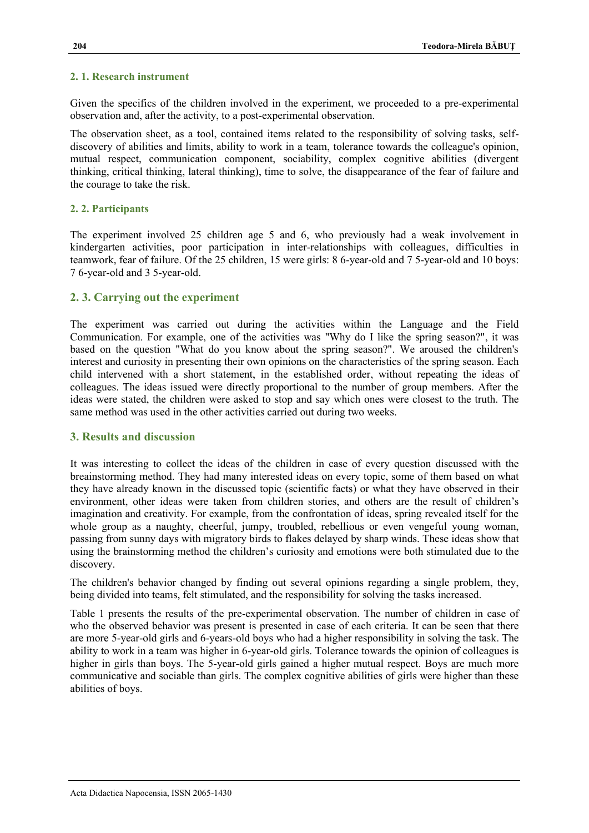#### **2. 1. Research instrument**

Given the specifics of the children involved in the experiment, we proceeded to a pre-experimental observation and, after the activity, to a post-experimental observation.

The observation sheet, as a tool, contained items related to the responsibility of solving tasks, selfdiscovery of abilities and limits, ability to work in a team, tolerance towards the colleague's opinion, mutual respect, communication component, sociability, complex cognitive abilities (divergent thinking, critical thinking, lateral thinking), time to solve, the disappearance of the fear of failure and the courage to take the risk.

## **2. 2. Participants**

The experiment involved 25 children age 5 and 6, who previously had a weak involvement in kindergarten activities, poor participation in inter-relationships with colleagues, difficulties in teamwork, fear of failure. Of the 25 children, 15 were girls: 8 6-year-old and 7 5-year-old and 10 boys: 7 6-year-old and 3 5-year-old.

# **2. 3. Carrying out the experiment**

The experiment was carried out during the activities within the Language and the Field Communication. For example, one of the activities was "Why do I like the spring season?", it was based on the question "What do you know about the spring season?". We aroused the children's interest and curiosity in presenting their own opinions on the characteristics of the spring season. Each child intervened with a short statement, in the established order, without repeating the ideas of colleagues. The ideas issued were directly proportional to the number of group members. After the ideas were stated, the children were asked to stop and say which ones were closest to the truth. The same method was used in the other activities carried out during two weeks.

## **3. Results and discussion**

It was interesting to collect the ideas of the children in case of every question discussed with the breainstorming method. They had many interested ideas on every topic, some of them based on what they have already known in the discussed topic (scientific facts) or what they have observed in their environment, other ideas were taken from children stories, and others are the result of children's imagination and creativity. For example, from the confrontation of ideas, spring revealed itself for the whole group as a naughty, cheerful, jumpy, troubled, rebellious or even vengeful young woman, passing from sunny days with migratory birds to flakes delayed by sharp winds. These ideas show that using the brainstorming method the children's curiosity and emotions were both stimulated due to the discovery.

The children's behavior changed by finding out several opinions regarding a single problem, they, being divided into teams, felt stimulated, and the responsibility for solving the tasks increased.

Table 1 presents the results of the pre-experimental observation. The number of children in case of who the observed behavior was present is presented in case of each criteria. It can be seen that there are more 5-year-old girls and 6-years-old boys who had a higher responsibility in solving the task. The ability to work in a team was higher in 6-year-old girls. Tolerance towards the opinion of colleagues is higher in girls than boys. The 5-year-old girls gained a higher mutual respect. Boys are much more communicative and sociable than girls. The complex cognitive abilities of girls were higher than these abilities of boys.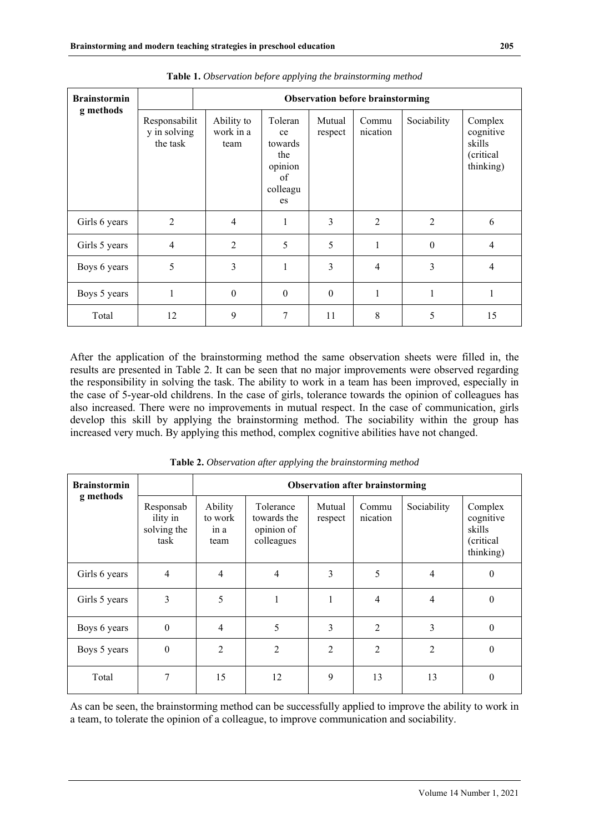| <b>Brainstormin</b> |                                           | <b>Observation before brainstorming</b> |                                                                    |                   |                   |                  |                                                          |  |  |  |
|---------------------|-------------------------------------------|-----------------------------------------|--------------------------------------------------------------------|-------------------|-------------------|------------------|----------------------------------------------------------|--|--|--|
| g methods           | Responsabilit<br>y in solving<br>the task | Ability to<br>work in a<br>team         | Toleran<br>ce<br>towards<br>the<br>opinion<br>of<br>colleagu<br>es | Mutual<br>respect | Commu<br>nication | Sociability      | Complex<br>cognitive<br>skills<br>(critical<br>thinking) |  |  |  |
| Girls 6 years       | $\overline{2}$                            | 4                                       | $\mathbf{1}$                                                       | 3                 | $\overline{2}$    | 2                | 6                                                        |  |  |  |
| Girls 5 years       | $\overline{4}$                            | $\overline{2}$                          | 5                                                                  | 5                 |                   | $\boldsymbol{0}$ | $\overline{4}$                                           |  |  |  |
| Boys 6 years        | 5                                         | 3                                       | $\mathbf{1}$                                                       | 3                 | 4                 | 3                | 4                                                        |  |  |  |
| Boys 5 years        | 1                                         | $\boldsymbol{0}$                        | $\theta$                                                           | $\boldsymbol{0}$  |                   | 1                |                                                          |  |  |  |
| Total               | 12                                        | 9                                       | 7                                                                  | 11                | 8                 | 5                | 15                                                       |  |  |  |

**Table 1.** *Observation before applying the brainstorming method*

After the application of the brainstorming method the same observation sheets were filled in, the results are presented in Table 2. It can be seen that no major improvements were observed regarding the responsibility in solving the task. The ability to work in a team has been improved, especially in the case of 5-year-old childrens. In the case of girls, tolerance towards the opinion of colleagues has also increased. There were no improvements in mutual respect. In the case of communication, girls develop this skill by applying the brainstorming method. The sociability within the group has increased very much. By applying this method, complex cognitive abilities have not changed.

| <b>Brainstormin</b><br>g methods |                                              | <b>Observation after brainstorming</b> |                                                      |                   |                   |                |                                                          |  |  |
|----------------------------------|----------------------------------------------|----------------------------------------|------------------------------------------------------|-------------------|-------------------|----------------|----------------------------------------------------------|--|--|
|                                  | Responsab<br>ility in<br>solving the<br>task | Ability<br>to work<br>in a<br>team     | Tolerance<br>towards the<br>opinion of<br>colleagues | Mutual<br>respect | Commu<br>nication | Sociability    | Complex<br>cognitive<br>skills<br>(critical<br>thinking) |  |  |
| Girls 6 years                    | $\overline{4}$                               | 4                                      | 4                                                    | 3                 | 5                 | $\overline{4}$ | $\theta$                                                 |  |  |
| Girls 5 years                    | 3                                            | 5                                      | 1                                                    | 1                 | 4                 | $\overline{4}$ | $\mathbf{0}$                                             |  |  |
| Boys 6 years                     | $\boldsymbol{0}$                             | $\overline{4}$                         | 5                                                    | 3                 | $\overline{2}$    | 3              | $\mathbf{0}$                                             |  |  |
| Boys 5 years                     | $\boldsymbol{0}$                             | $\overline{2}$                         | $\overline{2}$                                       | $\overline{2}$    | $\overline{2}$    | $\overline{2}$ | $\theta$                                                 |  |  |
| Total                            | 7                                            | 15                                     | 12                                                   | 9                 | 13                | 13             | 0                                                        |  |  |

**Table 2.** *Observation after applying the brainstorming method*

As can be seen, the brainstorming method can be successfully applied to improve the ability to work in a team, to tolerate the opinion of a colleague, to improve communication and sociability.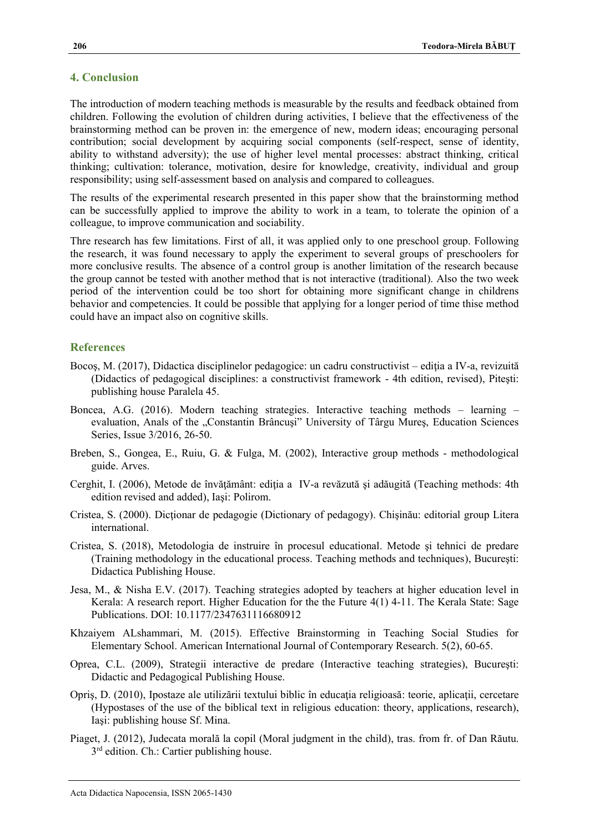## **4. Conclusion**

The introduction of modern teaching methods is measurable by the results and feedback obtained from children. Following the evolution of children during activities, I believe that the effectiveness of the brainstorming method can be proven in: the emergence of new, modern ideas; encouraging personal contribution; social development by acquiring social components (self-respect, sense of identity, ability to withstand adversity); the use of higher level mental processes: abstract thinking, critical thinking; cultivation: tolerance, motivation, desire for knowledge, creativity, individual and group responsibility; using self-assessment based on analysis and compared to colleagues.

The results of the experimental research presented in this paper show that the brainstorming method can be successfully applied to improve the ability to work in a team, to tolerate the opinion of a colleague, to improve communication and sociability.

Thre research has few limitations. First of all, it was applied only to one preschool group. Following the research, it was found necessary to apply the experiment to several groups of preschoolers for more conclusive results. The absence of a control group is another limitation of the research because the group cannot be tested with another method that is not interactive (traditional). Also the two week period of the intervention could be too short for obtaining more significant change in childrens behavior and competencies. It could be possible that applying for a longer period of time thise method could have an impact also on cognitive skills.

#### **References**

- Bocos, M. (2017), Didactica disciplinelor pedagogice: un cadru constructivist ediția a IV-a, revizuită (Didactics of pedagogical disciplines: a constructivist framework - 4th edition, revised), Piteşti: publishing house Paralela 45.
- Boncea, A.G. (2016). Modern teaching strategies. Interactive teaching methods learning evaluation, Anals of the "Constantin Brâncuși" University of Târgu Mureș, Education Sciences Series, Issue 3/2016, 26-50.
- Breben, S., Gongea, E., Ruiu, G. & Fulga, M. (2002), Interactive group methods methodological guide. Arves.
- Cerghit, I. (2006), Metode de învățământ: ediția a IV-a revăzută și adăugită (Teaching methods: 4th edition revised and added), Iaşi: Polirom.
- Cristea, S. (2000). Dictionar de pedagogie (Dictionary of pedagogy). Chisinău: editorial group Litera international.
- Cristea, S. (2018), Metodologia de instruire în procesul educational. Metode şi tehnici de predare (Training methodology in the educational process. Teaching methods and techniques), Bucureşti: Didactica Publishing House.
- Jesa, M., & Nisha E.V. (2017). Teaching strategies adopted by teachers at higher education level in Kerala: A research report. Higher Education for the the Future 4(1) 4-11. The Kerala State: Sage Publications. DOI: 10.1177/2347631116680912
- Khzaiyem ALshammari, M. (2015). Effective Brainstorming in Teaching Social Studies for Elementary School. American International Journal of Contemporary Research. 5(2), 60-65.
- Oprea, C.L. (2009), Strategii interactive de predare (Interactive teaching strategies), Bucureşti: Didactic and Pedagogical Publishing House.
- Opriş, D. (2010), Ipostaze ale utilizării textului biblic în educaţia religioasă: teorie, aplicaţii, cercetare (Hypostases of the use of the biblical text in religious education: theory, applications, research), Iaşi: publishing house Sf. Mina.
- Piaget, J. (2012), Judecata morală la copil (Moral judgment in the child), tras. from fr. of Dan Răutu. 3<sup>rd</sup> edition. Ch.: Cartier publishing house.